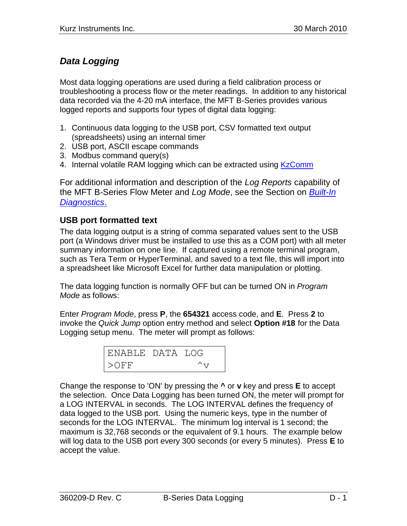# *Data Logging*

Most data logging operations are used during a field calibration process or troubleshooting a process flow or the meter readings. In addition to any historical data recorded via the 4-20 mA interface, the MFT B-Series provides various logged reports and supports four types of digital data logging:

- 1. Continuous data logging to the USB port, CSV formatted text output (spreadsheets) using an internal timer
- 2. USB port, ASCII escape commands
- 3. Modbus command query(s)
- 4. Internal volatile RAM logging which can be extracted using [KzComm](280128%20%20KzComm%20Users%20Guide.pdf)

For additional information and description of the *Log Reports* capability of the MFT B-Series Flow Meter and *Log Mode*, see the Section on *[Built-In](360209-E%20Built-In%20diagnostic.pdf)  [Diagnostics](360209-E%20Built-In%20diagnostic.pdf)*.

## **USB port formatted text**

The data logging output is a string of comma separated values sent to the USB port (a Windows driver must be installed to use this as a COM port) with all meter summary information on one line. If captured using a remote terminal program, such as Tera Term or HyperTerminal, and saved to a text file, this will import into a spreadsheet like Microsoft Excel for further data manipulation or plotting.

The data logging function is normally OFF but can be turned ON in *Program Mode* as follows:

Enter *Program Mode*, press **P**, the **654321** access code, and **E**. Press **2** to invoke the *Quick Jump* option entry method and select **Option #18** for the Data Logging setup menu. The meter will prompt as follows:

| ENABLE DATA LOG |               |  |
|-----------------|---------------|--|
| $>$ OFF         | $\wedge_{77}$ |  |

Change the response to 'ON' by pressing the **^** or **v** key and press **E** to accept the selection. Once Data Logging has been turned ON, the meter will prompt for a LOG INTERVAL in seconds. The LOG INTERVAL defines the frequency of data logged to the USB port. Using the numeric keys, type in the number of seconds for the LOG INTERVAL. The minimum log interval is 1 second; the maximum is 32,768 seconds or the equivalent of 9.1 hours. The example below will log data to the USB port every 300 seconds (or every 5 minutes). Press **E** to accept the value.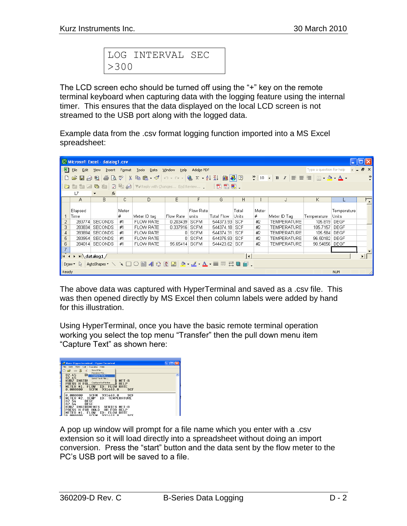|            | LOG INTERVAL SEC |  |
|------------|------------------|--|
| $\geq$ 300 |                  |  |

The LCD screen echo should be turned off using the "+" key on the remote terminal keyboard when capturing data with the logging feature using the internal timer. This ensures that the data displayed on the local LCD screen is not streamed to the USB port along with the logged data.

Example data from the .csv format logging function imported into a MS Excel spreadsheet:

|                |                                                                                                                                                                                                                                                                                                                                                                   | Microsoft Excel - datalog1.csv |        |                                                                                          |                |             |                   |                          |       |                                                                             |                          | ш.          |                        |
|----------------|-------------------------------------------------------------------------------------------------------------------------------------------------------------------------------------------------------------------------------------------------------------------------------------------------------------------------------------------------------------------|--------------------------------|--------|------------------------------------------------------------------------------------------|----------------|-------------|-------------------|--------------------------|-------|-----------------------------------------------------------------------------|--------------------------|-------------|------------------------|
| 图              | Eile<br>Edit                                                                                                                                                                                                                                                                                                                                                      | <b>View</b><br>Insert          | Format | <b>Tools</b><br>Data                                                                     | Help<br>Window | Adobe PDF   |                   |                          |       |                                                                             | Type a question for help |             | $   -$<br>$\mathsf{x}$ |
|                | 自                                                                                                                                                                                                                                                                                                                                                                 | 圈                              |        | $\mathbf{A} \otimes \mathbf{B} \otimes \mathbf{B} \otimes \mathbf{B} \otimes \mathbf{B}$ |                |             |                   |                          |       | $\frac{3}{2}$ 10 - B $I \equiv \equiv \equiv \equiv \equiv \pm \cdot 3 - 4$ |                          |             | $\rightarrow$          |
| 调              | $b$ and $c$                                                                                                                                                                                                                                                                                                                                                       |                                |        | <b>2 ha @ (**Reply with Changes End Review , □ 12 #3 #3 ,</b>                            |                |             |                   |                          |       |                                                                             |                          |             |                        |
|                | L7                                                                                                                                                                                                                                                                                                                                                                | fx<br>$\overline{\phantom{a}}$ |        |                                                                                          |                |             |                   |                          |       |                                                                             |                          |             |                        |
|                | A                                                                                                                                                                                                                                                                                                                                                                 | B                              | с      | D                                                                                        | E              | F           | G                 | H                        |       |                                                                             | Κ                        |             | ⋤                      |
|                | Elapsed                                                                                                                                                                                                                                                                                                                                                           |                                | Meter  |                                                                                          |                | Flow Rate   |                   | Total                    | Meter |                                                                             |                          | Temperature |                        |
|                | Time                                                                                                                                                                                                                                                                                                                                                              |                                | #      | Meter ID tag                                                                             | Flow Rate      | units       | <b>Total Flow</b> | Units                    | #     | Meter ID Tag                                                                | Temperature              | Units       |                        |
| 2              | 283774                                                                                                                                                                                                                                                                                                                                                            | SECONDS                        | #1     | <b>FLOW RATE</b>                                                                         | 0.203439       | <b>SCFM</b> | 544373.93 SCF     |                          | #2    | TEMPERATURE                                                                 | 105.819 DEGF             |             |                        |
| 3              |                                                                                                                                                                                                                                                                                                                                                                   | 283834 SECONDS                 | #1     | <b>FLOW RATE</b>                                                                         | 0.337916       | <b>SCFM</b> | 544374.18         | SCF                      | #2    | <b>TEMPERATURE</b>                                                          | 105.7157 DEGF            |             |                        |
| $\overline{4}$ |                                                                                                                                                                                                                                                                                                                                                                   | 283894 SECONDS                 | #1     | <b>FLOW RATE</b>                                                                         |                | 0 SCFM      | 544374.31         | SCF                      | #2    | <b>TEMPERATURE</b>                                                          | 105.584 DEGF             |             |                        |
| 5              |                                                                                                                                                                                                                                                                                                                                                                   | 283954 SECONDS                 | #1     | <b>FLOW RATE</b>                                                                         |                | 0 SCFM      | 544375.93 SCF     |                          | #2    | <b>TEMPERATURE</b>                                                          | 96.50182 DEGF            |             |                        |
| 6              |                                                                                                                                                                                                                                                                                                                                                                   | 284014 SECONDS                 | #1     | <b>FLOW RATE</b>                                                                         | 95.65414       | SCFM        | 544423.62 SCF     |                          | #2    | <b>TEMPERATURE</b>                                                          | 90.54856 DEGF            |             |                        |
| $\overline{z}$ |                                                                                                                                                                                                                                                                                                                                                                   |                                |        |                                                                                          |                |             |                   |                          |       |                                                                             |                          |             |                        |
|                | H ( ) H datalog1                                                                                                                                                                                                                                                                                                                                                  |                                |        |                                                                                          |                |             |                   | $\overline{\phantom{a}}$ |       |                                                                             |                          |             | $\blacktriangleright$  |
|                | [Draw " $\backslash\hspace{0.2em}\backslash$ AutoShapes " $\setminus\hspace{0.2em}\backslash\hspace{0.2em}\sqcup\hspace{0.2em}\Box$ . $\boxplus\hspace{0.2em}\Box$ $\boxplus\hspace{0.2em}\Box$ $\otimes\hspace{0.2em}\lnot\hspace{0.2em}\bot$ . $\blacktriangle\hspace{0.2em}\lnot\hspace{0.2em}\bot$ $\blacksquare$ $\boxplus\hspace{0.2em}\Box$ $\blacksquare$ |                                |        |                                                                                          |                |             |                   |                          |       |                                                                             |                          |             |                        |
| Ready          |                                                                                                                                                                                                                                                                                                                                                                   |                                |        |                                                                                          |                |             |                   |                          |       |                                                                             |                          | <b>NUM</b>  |                        |

The above data was captured with HyperTerminal and saved as a .csv file. This was then opened directly by MS Excel then column labels were added by hand for this illustration.

Using HyperTerminal, once you have the basic remote terminal operation working you select the top menu "Transfer" then the pull down menu item "Capture Text" as shown here:



A pop up window will prompt for a file name which you enter with a .csv extension so it will load directly into a spreadsheet without doing an import conversion. Press the "start" button and the data sent by the flow meter to the PC's USB port will be saved to a file.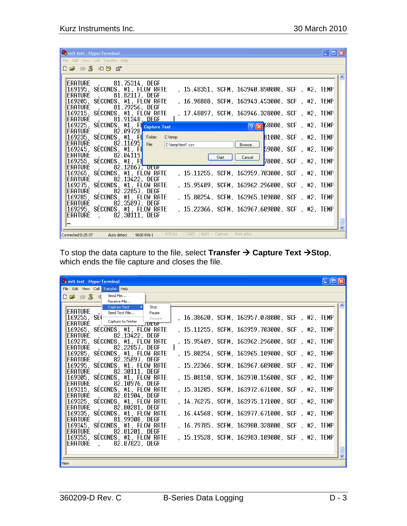| $\overline{\mathsf{L}}$ $\overline{\mathsf{L}}$ $\overline{\mathsf{L}}$<br><b>Comft test - HyperTerminal</b>                    |
|---------------------------------------------------------------------------------------------------------------------------------|
| File Edit View Call Transfer Help                                                                                               |
| $D \rightarrow \mathbb{Z}$ and $\mathbb{Z}$                                                                                     |
|                                                                                                                                 |
| ERATURE , 81.75314, DEGF                                                                                                        |
| 169195, SECONDS, #1, FLOW RATE<br>, 15.48351, SCFM, 163940.890000, SCF , #2, TEMP                                               |
| 81.82117, DEGF<br><b>ERATURE</b>                                                                                                |
| 169205, SECONDS, #1, FLOW RATE<br>. 16.98888, SCFM, 163943.453000, SCF , #2, TEMP                                               |
| 81.79256, DEGF<br>$ERATURE$ ,                                                                                                   |
| 169215, SECONDS, #1, FLOW RATE<br>, 17.48897, SCFM, 163946.328000, SCF, #2, TEMP                                                |
| ERATURE , 81.91348, DEGE                                                                                                        |
| 169225, SECONDS, #1, FL Capture Text<br>$\sqrt{21}$ 68000, SCF, #2, TEMP                                                        |
| ERATURE<br>82.09728<br>C:\temp                                                                                                  |
| $81000, \, \text{SCF}, \, \text{#2}, \, \text{TEMP}$<br>169235,SECONDS,#1,FI <mark>I</mark> _Folder:__<br>ERATURE,<br>82.11695L |
| File:<br>C:\temp\test1.csv<br>Browse<br>169245, SECONDS, #1, FU<br>59000, SCF, #2, TEMP                                         |
| 82.04119<br>ERATURE                                                                                                             |
| Cancel<br>Start<br>$78000, \, \text{SCF}, \, \text{H2}, \, \text{TEMP}$<br>169255, SECONDS, #1, FU                              |
| <b>ERATURE</b><br>82.12867. DEGF                                                                                                |
| , 15.11255, SCFM, 163959.703000, SCF , #2, TEMP<br>169265, SECONDS, #1, FLOW RATE                                               |
| <b>FRATURF</b><br>, 82.13422, DEGF                                                                                              |
| 169275, SECONDS, #1, FLOW RATE<br>. 15.95409. SCFM. 163962.296000. SCF . #2. TEMP                                               |
| 82.22857, DEGF<br><b>ERATURE</b>                                                                                                |
| 169285, SECONDS, #1, FLOW RATE<br>. 15.80254. SCFM. 163965.109000. SCF . #2. TEMP.                                              |
| ERATURE , 82.35897, DEGF                                                                                                        |
| 169295, SECONDS, #1, FLOW RATE<br>. 15.22366. SCFM. 163967.609000. SCF . #2. TEMP                                               |
| ERATURE , 82.30111, DEGF                                                                                                        |
|                                                                                                                                 |
| <b>SCROLL</b><br>CAPS<br>NUM   Capture<br>Print echo<br>Connected 0:25:37<br>Auto detect<br>9600 8-N-1                          |

To stop the data capture to the file, select **Transfer Capture Text Stop**, which ends the file capture and closes the file.

| <b>Computer of the HyperTerminal</b><br>L IIOIX                                                                             |  |
|-----------------------------------------------------------------------------------------------------------------------------|--|
| File Edit View Call Transfer Help                                                                                           |  |
| □□ ■ 8 = Send File<br>Receive File                                                                                          |  |
| Capture Text<br>Stop<br>, Send Text File<br> ERATURE <br>Pause<br>, 16.38620, SCFM, 163957.078000, SCF , #2, TEMP<br>Resume |  |
| $\frac{169255}{169255}$ , $\frac{169255}{16925}$<br><b>UEGF</b>                                                             |  |
| 169265, SECONDS, #1, FLOW RATE<br>, 15.11255, SCFM, 163959.703000, SCF , #2, TEMP<br>, 82.13422, DEGF<br>ERATURE.           |  |
| 169275, SECONDS, #1, FLOW RATE<br>, 15.95409, SCFM, 163962.296000, SCF , #2, TEMP<br>. 82.22857, DEGF<br><b>ERATURE</b>     |  |
| 169285, SECONDS, #1, FLOW RATE<br>. 15.80254. SCFM. 163965.109000. SCF . #2. TEMP<br>, 82.35897, DEGF<br>erature.           |  |
| , 15.22366, SCFM, 163967.609000, SCF , #2, TEMP<br>169295, SECONDS, #1, FLOW RATE                                           |  |
| ERATURE , 82.30111, DEGF<br>169305, SECONDS, #1, FLOW RATE<br>. 15.08150. SCFM. 163970.156000. SCF . #2. TEMP               |  |
| , 82.10976, DEGF<br>ERATURE.<br>169315, SECONDS, #1, FLOW RATE<br>, 15.31205, SCFM, 163972.671000, SCF , #2, TEMP           |  |
| ERATURE.<br>. 82.01904, DEGF<br>169325, SECONDS, #1, FLOW RATE<br>, 14.76275, SCFM, 163975.171000, SCF , #2, TEMP           |  |
| ERATURE.<br>. 82.00281.DEGF<br>169335, SECONDS, #1, FLOW RATE<br>, 16.44568, SCFM, 163977.671000, SCF , #2, TEMP            |  |
| ERATURE , 81.99308, DEGF<br>169345, SECONDS, #1, FLOW RATE<br>, 16.79785, SCFM, 163980.328000, SCF , #2, TEMP               |  |
| <b>ERATURE</b><br>, 82.01201, DEGF<br>169355, SECONDS, #1, FLOW RATE<br>, 15.19528, SCFM, 163983.109000, SCF, #2, TEMP      |  |
| ERATURE , 82.07823, DEGF                                                                                                    |  |
|                                                                                                                             |  |
| View                                                                                                                        |  |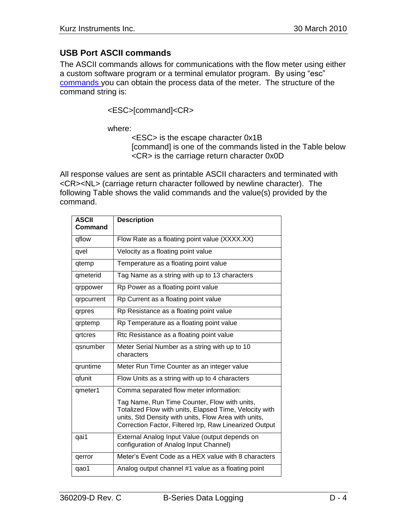#### **USB Port ASCII commands**

The ASCII commands allows for communications with the flow meter using either a custom software program or a terminal emulator program. By using "esc" [commands y](360209-J%20Serial%20Communications.pdf)ou can obtain the process data of the meter. The structure of the command string is:

<ESC>[command]<CR>

where:

<ESC> is the escape character 0x1B [command] is one of the commands listed in the Table below <CR> is the carriage return character 0x0D

All response values are sent as printable ASCII characters and terminated with <CR><NL> (carriage return character followed by newline character). The following Table shows the valid commands and the value(s) provided by the command.

| <b>ASCII</b><br>Command | <b>Description</b>                                                                                                                                                                                                       |
|-------------------------|--------------------------------------------------------------------------------------------------------------------------------------------------------------------------------------------------------------------------|
|                         |                                                                                                                                                                                                                          |
| qflow                   | Flow Rate as a floating point value (XXXX.XX)                                                                                                                                                                            |
| qvel                    | Velocity as a floating point value                                                                                                                                                                                       |
| qtemp                   | Temperature as a floating point value                                                                                                                                                                                    |
| qmeterid                | Tag Name as a string with up to 13 characters                                                                                                                                                                            |
| qrppower                | Rp Power as a floating point value                                                                                                                                                                                       |
| qrpcurrent              | Rp Current as a floating point value                                                                                                                                                                                     |
| qrpres                  | Rp Resistance as a floating point value                                                                                                                                                                                  |
| qrptemp                 | Rp Temperature as a floating point value                                                                                                                                                                                 |
| qrtcres                 | Rtc Resistance as a floating point value                                                                                                                                                                                 |
| qsnumber                | Meter Serial Number as a string with up to 10<br>characters                                                                                                                                                              |
| qruntime                | Meter Run Time Counter as an integer value                                                                                                                                                                               |
| qfunit                  | Flow Units as a string with up to 4 characters                                                                                                                                                                           |
| qmeter1                 | Comma separated flow meter information:                                                                                                                                                                                  |
|                         | Tag Name, Run Time Counter, Flow with units,<br>Totalized Flow with units, Elapsed Time, Velocity with<br>units, Std Density with units, Flow Area with units,<br>Correction Factor, Filtered Irp, Raw Linearized Output |
| qai1                    | External Analog Input Value (output depends on<br>configuration of Analog Input Channel)                                                                                                                                 |
| qerror                  | Meter's Event Code as a HEX value with 8 characters                                                                                                                                                                      |
| qao1                    | Analog output channel #1 value as a floating point                                                                                                                                                                       |